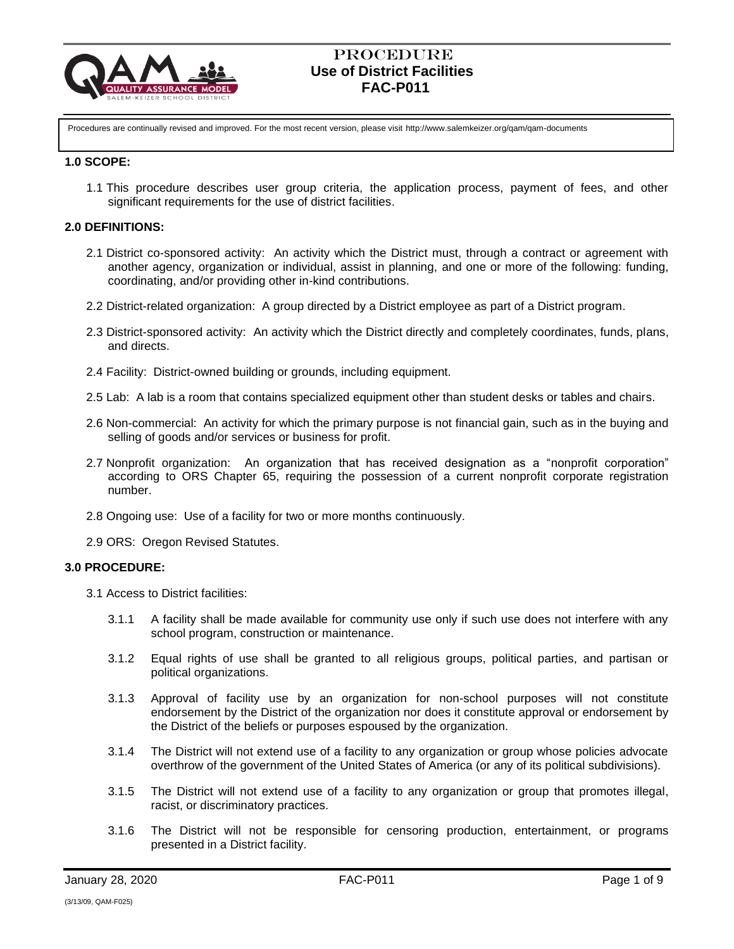

Procedures are continually revised and improved. For the most recent version, please visit http://www.salemkeizer.org/qam/qam-documents

#### **1.0 SCOPE:**

1.1 This procedure describes user group criteria, the application process, payment of fees, and other significant requirements for the use of district facilities.

#### **2.0 DEFINITIONS:**

- 2.1 District co-sponsored activity: An activity which the District must, through a contract or agreement with another agency, organization or individual, assist in planning, and one or more of the following: funding, coordinating, and/or providing other in-kind contributions.
- 2.2 District-related organization: A group directed by a District employee as part of a District program.
- 2.3 District-sponsored activity: An activity which the District directly and completely coordinates, funds, plans, and directs.
- 2.4 Facility: District-owned building or grounds, including equipment.
- 2.5 Lab: A lab is a room that contains specialized equipment other than student desks or tables and chairs.
- 2.6 Non-commercial: An activity for which the primary purpose is not financial gain, such as in the buying and selling of goods and/or services or business for profit.
- 2.7 Nonprofit organization: An organization that has received designation as a "nonprofit corporation" according to ORS Chapter 65, requiring the possession of a current nonprofit corporate registration number.
- 2.8 Ongoing use: Use of a facility for two or more months continuously.
- 2.9 ORS: Oregon Revised Statutes.

#### **3.0 PROCEDURE:**

- 3.1 Access to District facilities:
	- 3.1.1 A facility shall be made available for community use only if such use does not interfere with any school program, construction or maintenance.
	- 3.1.2 Equal rights of use shall be granted to all religious groups, political parties, and partisan or political organizations.
	- 3.1.3 Approval of facility use by an organization for non-school purposes will not constitute endorsement by the District of the organization nor does it constitute approval or endorsement by the District of the beliefs or purposes espoused by the organization.
	- 3.1.4 The District will not extend use of a facility to any organization or group whose policies advocate overthrow of the government of the United States of America (or any of its political subdivisions).
	- 3.1.5 The District will not extend use of a facility to any organization or group that promotes illegal, racist, or discriminatory practices.
	- 3.1.6 The District will not be responsible for censoring production, entertainment, or programs presented in a District facility.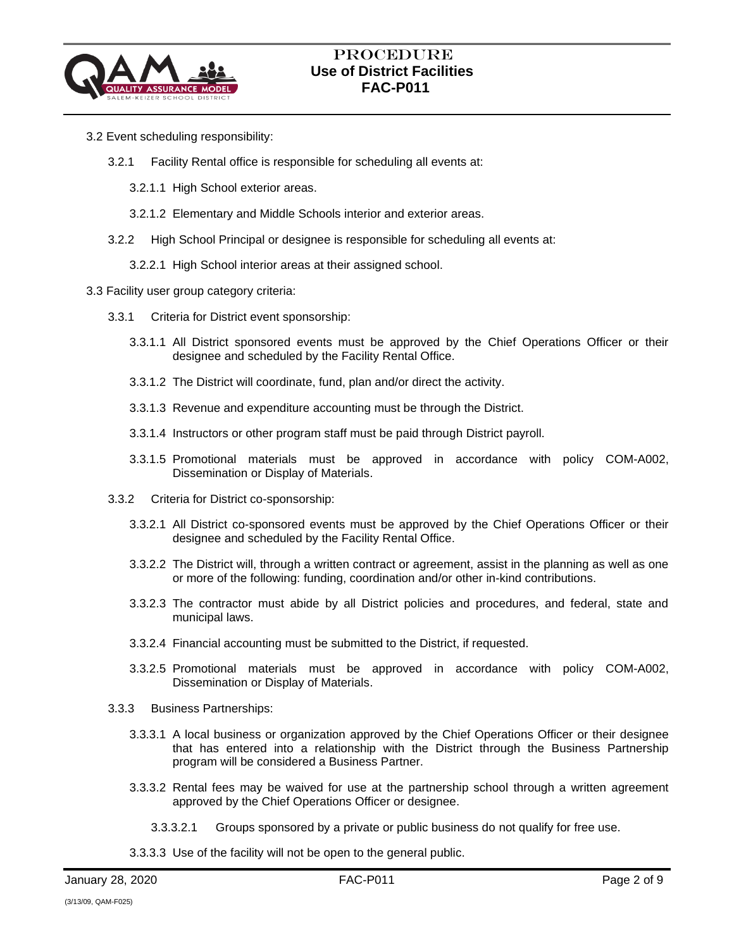

- 3.2 Event scheduling responsibility:
	- 3.2.1 Facility Rental office is responsible for scheduling all events at:
		- 3.2.1.1 High School exterior areas.
		- 3.2.1.2 Elementary and Middle Schools interior and exterior areas.
	- 3.2.2 High School Principal or designee is responsible for scheduling all events at:
		- 3.2.2.1 High School interior areas at their assigned school.
- 3.3 Facility user group category criteria:
	- 3.3.1 Criteria for District event sponsorship:
		- 3.3.1.1 All District sponsored events must be approved by the Chief Operations Officer or their designee and scheduled by the Facility Rental Office.
		- 3.3.1.2 The District will coordinate, fund, plan and/or direct the activity.
		- 3.3.1.3 Revenue and expenditure accounting must be through the District.
		- 3.3.1.4 Instructors or other program staff must be paid through District payroll.
		- 3.3.1.5 Promotional materials must be approved in accordance with policy COM-A002, Dissemination or Display of Materials.
	- 3.3.2 Criteria for District co-sponsorship:
		- 3.3.2.1 All District co-sponsored events must be approved by the Chief Operations Officer or their designee and scheduled by the Facility Rental Office.
		- 3.3.2.2 The District will, through a written contract or agreement, assist in the planning as well as one or more of the following: funding, coordination and/or other in-kind contributions.
		- 3.3.2.3 The contractor must abide by all District policies and procedures, and federal, state and municipal laws.
		- 3.3.2.4 Financial accounting must be submitted to the District, if requested.
		- 3.3.2.5 Promotional materials must be approved in accordance with policy COM-A002, Dissemination or Display of Materials.
	- 3.3.3 Business Partnerships:
		- 3.3.3.1 A local business or organization approved by the Chief Operations Officer or their designee that has entered into a relationship with the District through the Business Partnership program will be considered a Business Partner.
		- 3.3.3.2 Rental fees may be waived for use at the partnership school through a written agreement approved by the Chief Operations Officer or designee.
			- 3.3.3.2.1 Groups sponsored by a private or public business do not qualify for free use.
		- 3.3.3.3 Use of the facility will not be open to the general public.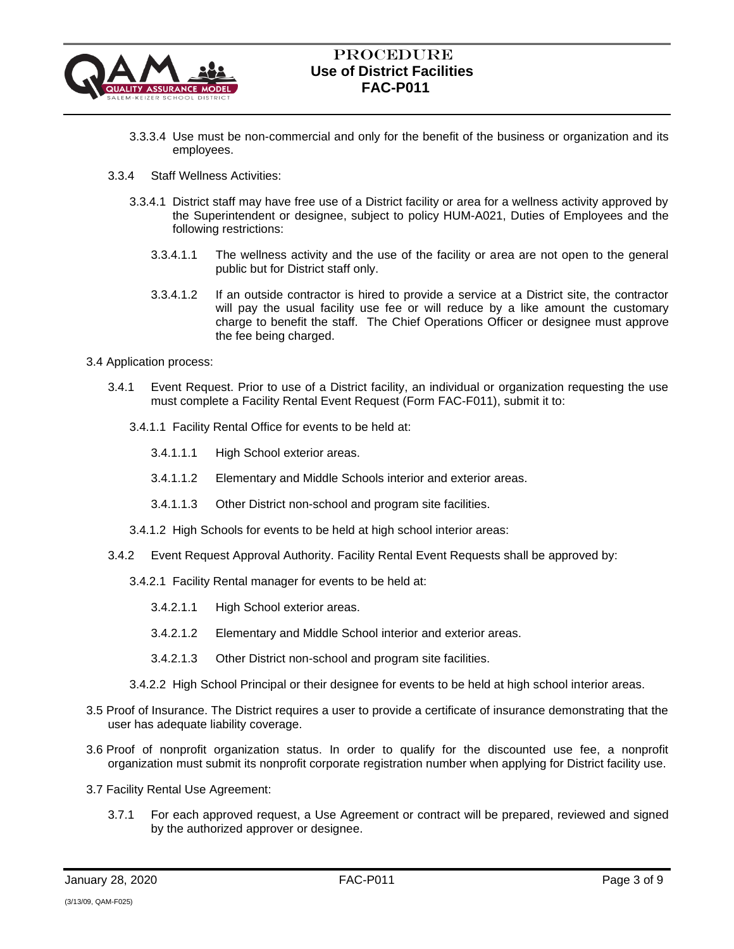

- 3.3.3.4 Use must be non-commercial and only for the benefit of the business or organization and its employees.
- 3.3.4 Staff Wellness Activities:
	- 3.3.4.1 District staff may have free use of a District facility or area for a wellness activity approved by the Superintendent or designee, subject to policy HUM-A021, Duties of Employees and the following restrictions:
		- 3.3.4.1.1 The wellness activity and the use of the facility or area are not open to the general public but for District staff only.
		- 3.3.4.1.2 If an outside contractor is hired to provide a service at a District site, the contractor will pay the usual facility use fee or will reduce by a like amount the customary charge to benefit the staff. The Chief Operations Officer or designee must approve the fee being charged.
- 3.4 Application process:
	- 3.4.1 Event Request. Prior to use of a District facility, an individual or organization requesting the use must complete a Facility Rental Event Request (Form FAC-F011), submit it to:
		- 3.4.1.1 Facility Rental Office for events to be held at:
			- 3.4.1.1.1 High School exterior areas.
			- 3.4.1.1.2 Elementary and Middle Schools interior and exterior areas.
			- 3.4.1.1.3 Other District non-school and program site facilities.
		- 3.4.1.2 High Schools for events to be held at high school interior areas:
	- 3.4.2 Event Request Approval Authority. Facility Rental Event Requests shall be approved by:
		- 3.4.2.1 Facility Rental manager for events to be held at:
			- 3.4.2.1.1 High School exterior areas.
			- 3.4.2.1.2 Elementary and Middle School interior and exterior areas.
			- 3.4.2.1.3 Other District non-school and program site facilities.
		- 3.4.2.2 High School Principal or their designee for events to be held at high school interior areas.
- 3.5 Proof of Insurance. The District requires a user to provide a certificate of insurance demonstrating that the user has adequate liability coverage.
- 3.6 Proof of nonprofit organization status. In order to qualify for the discounted use fee, a nonprofit organization must submit its nonprofit corporate registration number when applying for District facility use.
- 3.7 Facility Rental Use Agreement:
	- 3.7.1 For each approved request, a Use Agreement or contract will be prepared, reviewed and signed by the authorized approver or designee.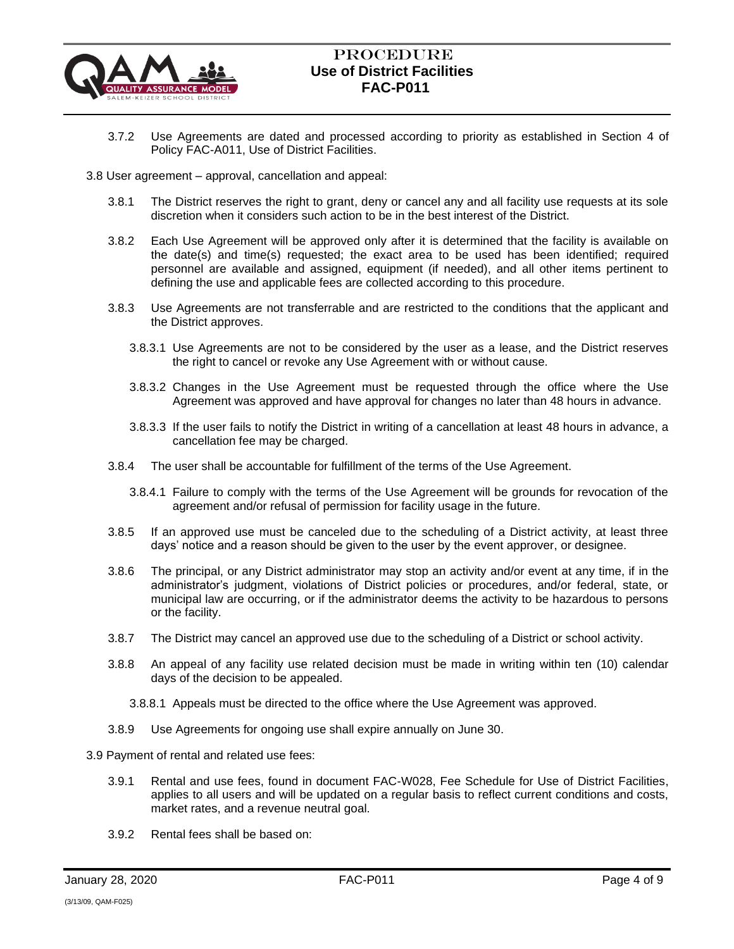

- 3.7.2 Use Agreements are dated and processed according to priority as established in Section 4 of Policy FAC-A011, Use of District Facilities.
- 3.8 User agreement approval, cancellation and appeal:
	- 3.8.1 The District reserves the right to grant, deny or cancel any and all facility use requests at its sole discretion when it considers such action to be in the best interest of the District.
	- 3.8.2 Each Use Agreement will be approved only after it is determined that the facility is available on the date(s) and time(s) requested; the exact area to be used has been identified; required personnel are available and assigned, equipment (if needed), and all other items pertinent to defining the use and applicable fees are collected according to this procedure.
	- 3.8.3 Use Agreements are not transferrable and are restricted to the conditions that the applicant and the District approves.
		- 3.8.3.1 Use Agreements are not to be considered by the user as a lease, and the District reserves the right to cancel or revoke any Use Agreement with or without cause.
		- 3.8.3.2 Changes in the Use Agreement must be requested through the office where the Use Agreement was approved and have approval for changes no later than 48 hours in advance.
		- 3.8.3.3 If the user fails to notify the District in writing of a cancellation at least 48 hours in advance, a cancellation fee may be charged.
	- 3.8.4 The user shall be accountable for fulfillment of the terms of the Use Agreement.
		- 3.8.4.1 Failure to comply with the terms of the Use Agreement will be grounds for revocation of the agreement and/or refusal of permission for facility usage in the future.
	- 3.8.5 If an approved use must be canceled due to the scheduling of a District activity, at least three days' notice and a reason should be given to the user by the event approver, or designee.
	- 3.8.6 The principal, or any District administrator may stop an activity and/or event at any time, if in the administrator's judgment, violations of District policies or procedures, and/or federal, state, or municipal law are occurring, or if the administrator deems the activity to be hazardous to persons or the facility.
	- 3.8.7 The District may cancel an approved use due to the scheduling of a District or school activity.
	- 3.8.8 An appeal of any facility use related decision must be made in writing within ten (10) calendar days of the decision to be appealed.
		- 3.8.8.1 Appeals must be directed to the office where the Use Agreement was approved.
	- 3.8.9 Use Agreements for ongoing use shall expire annually on June 30.
- 3.9 Payment of rental and related use fees:
	- 3.9.1 Rental and use fees, found in document FAC-W028, Fee Schedule for Use of District Facilities, applies to all users and will be updated on a regular basis to reflect current conditions and costs, market rates, and a revenue neutral goal.
	- 3.9.2 Rental fees shall be based on: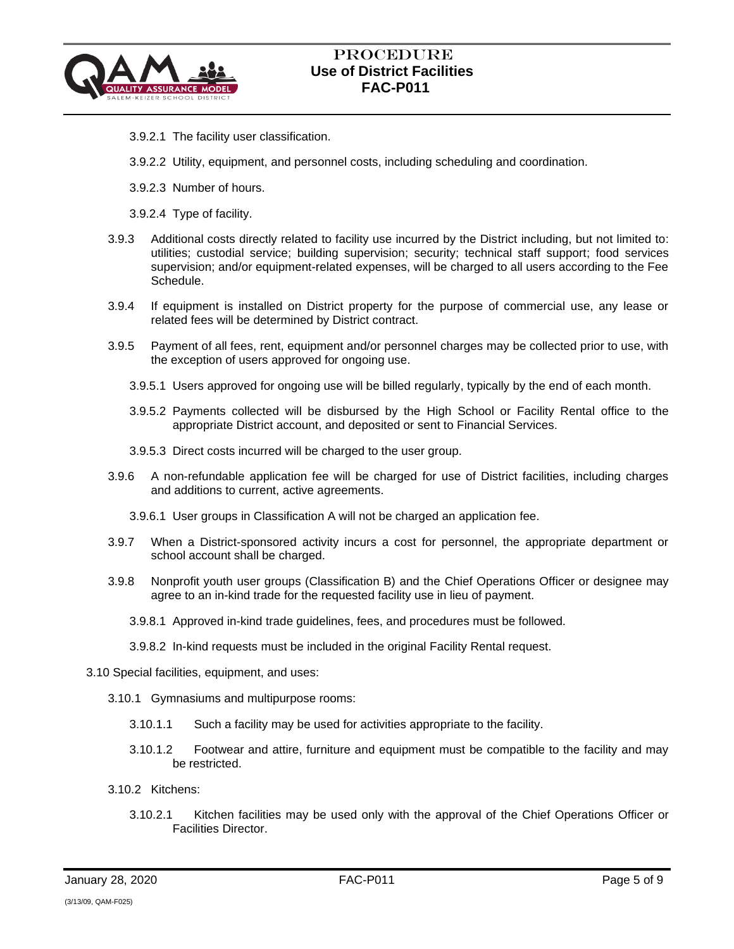

- 3.9.2.1 The facility user classification.
- 3.9.2.2 Utility, equipment, and personnel costs, including scheduling and coordination.
- 3.9.2.3 Number of hours.
- 3.9.2.4 Type of facility.
- 3.9.3 Additional costs directly related to facility use incurred by the District including, but not limited to: utilities; custodial service; building supervision; security; technical staff support; food services supervision; and/or equipment-related expenses, will be charged to all users according to the Fee Schedule.
- 3.9.4 If equipment is installed on District property for the purpose of commercial use, any lease or related fees will be determined by District contract.
- 3.9.5 Payment of all fees, rent, equipment and/or personnel charges may be collected prior to use, with the exception of users approved for ongoing use.
	- 3.9.5.1 Users approved for ongoing use will be billed regularly, typically by the end of each month.
	- 3.9.5.2 Payments collected will be disbursed by the High School or Facility Rental office to the appropriate District account, and deposited or sent to Financial Services.
	- 3.9.5.3 Direct costs incurred will be charged to the user group.
- 3.9.6 A non-refundable application fee will be charged for use of District facilities, including charges and additions to current, active agreements.
	- 3.9.6.1 User groups in Classification A will not be charged an application fee.
- 3.9.7 When a District-sponsored activity incurs a cost for personnel, the appropriate department or school account shall be charged.
- 3.9.8 Nonprofit youth user groups (Classification B) and the Chief Operations Officer or designee may agree to an in-kind trade for the requested facility use in lieu of payment.
	- 3.9.8.1 Approved in-kind trade guidelines, fees, and procedures must be followed.
	- 3.9.8.2 In-kind requests must be included in the original Facility Rental request.
- 3.10 Special facilities, equipment, and uses:
	- 3.10.1 Gymnasiums and multipurpose rooms:
		- 3.10.1.1 Such a facility may be used for activities appropriate to the facility.
		- 3.10.1.2 Footwear and attire, furniture and equipment must be compatible to the facility and may be restricted.
	- 3.10.2 Kitchens:
		- 3.10.2.1 Kitchen facilities may be used only with the approval of the Chief Operations Officer or Facilities Director.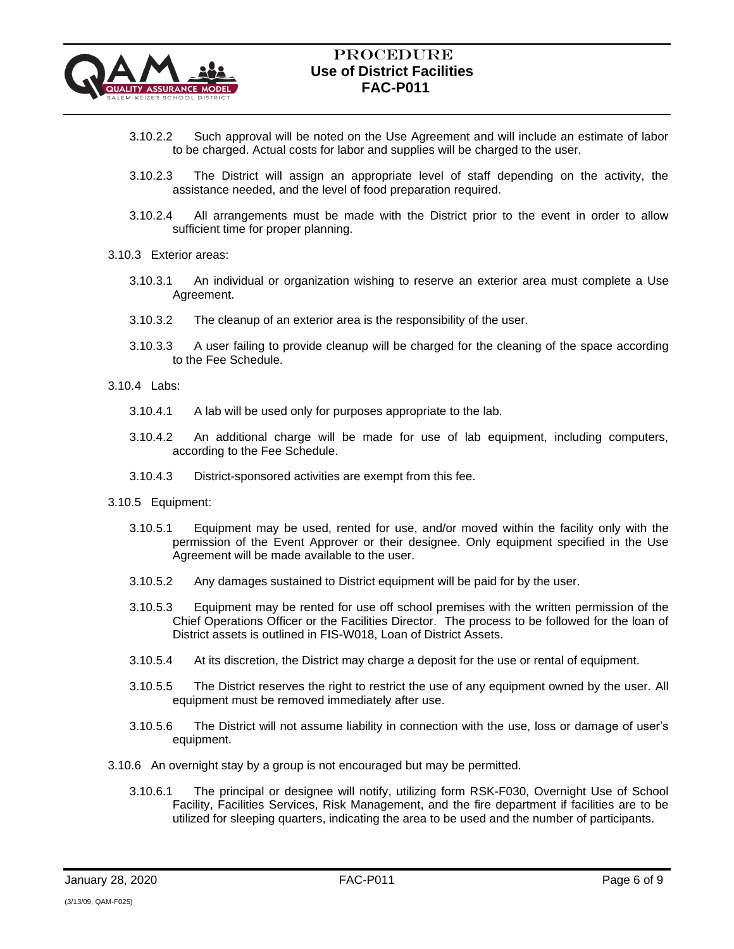

- 3.10.2.2 Such approval will be noted on the Use Agreement and will include an estimate of labor to be charged. Actual costs for labor and supplies will be charged to the user.
- 3.10.2.3 The District will assign an appropriate level of staff depending on the activity, the assistance needed, and the level of food preparation required.
- 3.10.2.4 All arrangements must be made with the District prior to the event in order to allow sufficient time for proper planning.
- 3.10.3 Exterior areas:
	- 3.10.3.1 An individual or organization wishing to reserve an exterior area must complete a Use Agreement.
	- 3.10.3.2 The cleanup of an exterior area is the responsibility of the user.
	- 3.10.3.3 A user failing to provide cleanup will be charged for the cleaning of the space according to the Fee Schedule.
- 3.10.4 Labs:
	- 3.10.4.1 A lab will be used only for purposes appropriate to the lab.
	- 3.10.4.2 An additional charge will be made for use of lab equipment, including computers, according to the Fee Schedule.
	- 3.10.4.3 District-sponsored activities are exempt from this fee.
- 3.10.5 Equipment:
	- 3.10.5.1 Equipment may be used, rented for use, and/or moved within the facility only with the permission of the Event Approver or their designee. Only equipment specified in the Use Agreement will be made available to the user.
	- 3.10.5.2 Any damages sustained to District equipment will be paid for by the user.
	- 3.10.5.3 Equipment may be rented for use off school premises with the written permission of the Chief Operations Officer or the Facilities Director. The process to be followed for the loan of District assets is outlined in FIS-W018, Loan of District Assets.
	- 3.10.5.4 At its discretion, the District may charge a deposit for the use or rental of equipment.
	- 3.10.5.5 The District reserves the right to restrict the use of any equipment owned by the user. All equipment must be removed immediately after use.
	- 3.10.5.6 The District will not assume liability in connection with the use, loss or damage of user's equipment.
- 3.10.6 An overnight stay by a group is not encouraged but may be permitted.
	- 3.10.6.1 The principal or designee will notify, utilizing form RSK-F030, Overnight Use of School Facility, Facilities Services, Risk Management, and the fire department if facilities are to be utilized for sleeping quarters, indicating the area to be used and the number of participants.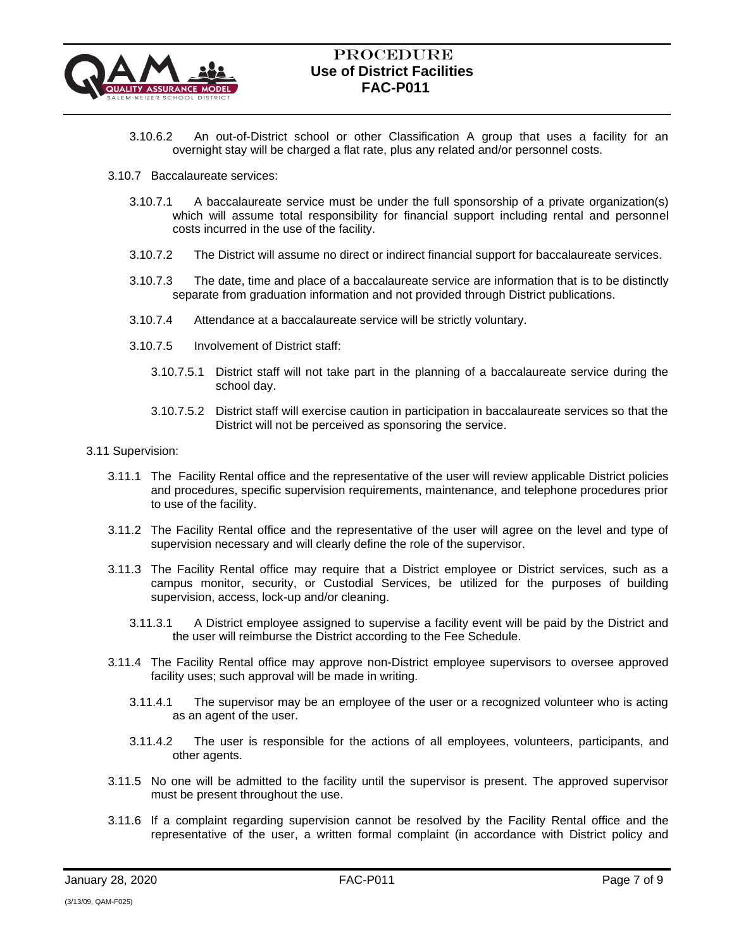

- 3.10.6.2 An out-of-District school or other Classification A group that uses a facility for an overnight stay will be charged a flat rate, plus any related and/or personnel costs.
- 3.10.7 Baccalaureate services:
	- 3.10.7.1 A baccalaureate service must be under the full sponsorship of a private organization(s) which will assume total responsibility for financial support including rental and personnel costs incurred in the use of the facility.
	- 3.10.7.2 The District will assume no direct or indirect financial support for baccalaureate services.
	- 3.10.7.3 The date, time and place of a baccalaureate service are information that is to be distinctly separate from graduation information and not provided through District publications.
	- 3.10.7.4 Attendance at a baccalaureate service will be strictly voluntary.
	- 3.10.7.5 Involvement of District staff:
		- 3.10.7.5.1 District staff will not take part in the planning of a baccalaureate service during the school day.
		- 3.10.7.5.2 District staff will exercise caution in participation in baccalaureate services so that the District will not be perceived as sponsoring the service.
- 3.11 Supervision:
	- 3.11.1 The Facility Rental office and the representative of the user will review applicable District policies and procedures, specific supervision requirements, maintenance, and telephone procedures prior to use of the facility.
	- 3.11.2 The Facility Rental office and the representative of the user will agree on the level and type of supervision necessary and will clearly define the role of the supervisor.
	- 3.11.3 The Facility Rental office may require that a District employee or District services, such as a campus monitor, security, or Custodial Services, be utilized for the purposes of building supervision, access, lock-up and/or cleaning.
		- 3.11.3.1 A District employee assigned to supervise a facility event will be paid by the District and the user will reimburse the District according to the Fee Schedule.
	- 3.11.4 The Facility Rental office may approve non-District employee supervisors to oversee approved facility uses; such approval will be made in writing.
		- 3.11.4.1 The supervisor may be an employee of the user or a recognized volunteer who is acting as an agent of the user.
		- 3.11.4.2 The user is responsible for the actions of all employees, volunteers, participants, and other agents.
	- 3.11.5 No one will be admitted to the facility until the supervisor is present. The approved supervisor must be present throughout the use.
	- 3.11.6 If a complaint regarding supervision cannot be resolved by the Facility Rental office and the representative of the user, a written formal complaint (in accordance with District policy and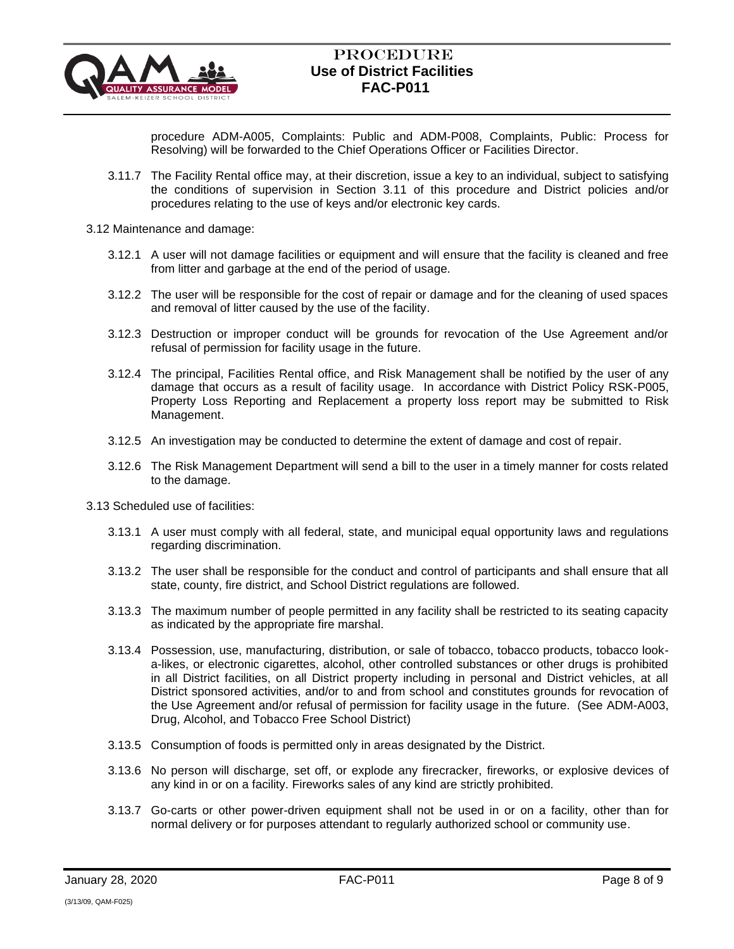

procedure ADM-A005, Complaints: Public and ADM-P008, Complaints, Public: Process for Resolving) will be forwarded to the Chief Operations Officer or Facilities Director.

- 3.11.7 The Facility Rental office may, at their discretion, issue a key to an individual, subject to satisfying the conditions of supervision in Section 3.11 of this procedure and District policies and/or procedures relating to the use of keys and/or electronic key cards.
- 3.12 Maintenance and damage:
	- 3.12.1 A user will not damage facilities or equipment and will ensure that the facility is cleaned and free from litter and garbage at the end of the period of usage.
	- 3.12.2 The user will be responsible for the cost of repair or damage and for the cleaning of used spaces and removal of litter caused by the use of the facility.
	- 3.12.3 Destruction or improper conduct will be grounds for revocation of the Use Agreement and/or refusal of permission for facility usage in the future.
	- 3.12.4 The principal, Facilities Rental office, and Risk Management shall be notified by the user of any damage that occurs as a result of facility usage. In accordance with District Policy RSK-P005, Property Loss Reporting and Replacement a property loss report may be submitted to Risk Management.
	- 3.12.5 An investigation may be conducted to determine the extent of damage and cost of repair.
	- 3.12.6 The Risk Management Department will send a bill to the user in a timely manner for costs related to the damage.

3.13 Scheduled use of facilities:

- 3.13.1 A user must comply with all federal, state, and municipal equal opportunity laws and regulations regarding discrimination.
- 3.13.2 The user shall be responsible for the conduct and control of participants and shall ensure that all state, county, fire district, and School District regulations are followed.
- 3.13.3 The maximum number of people permitted in any facility shall be restricted to its seating capacity as indicated by the appropriate fire marshal.
- 3.13.4 Possession, use, manufacturing, distribution, or sale of tobacco, tobacco products, tobacco looka-likes, or electronic cigarettes, alcohol, other controlled substances or other drugs is prohibited in all District facilities, on all District property including in personal and District vehicles, at all District sponsored activities, and/or to and from school and constitutes grounds for revocation of the Use Agreement and/or refusal of permission for facility usage in the future. (See ADM-A003, Drug, Alcohol, and Tobacco Free School District)
- 3.13.5 Consumption of foods is permitted only in areas designated by the District.
- 3.13.6 No person will discharge, set off, or explode any firecracker, fireworks, or explosive devices of any kind in or on a facility. Fireworks sales of any kind are strictly prohibited.
- 3.13.7 Go-carts or other power-driven equipment shall not be used in or on a facility, other than for normal delivery or for purposes attendant to regularly authorized school or community use.